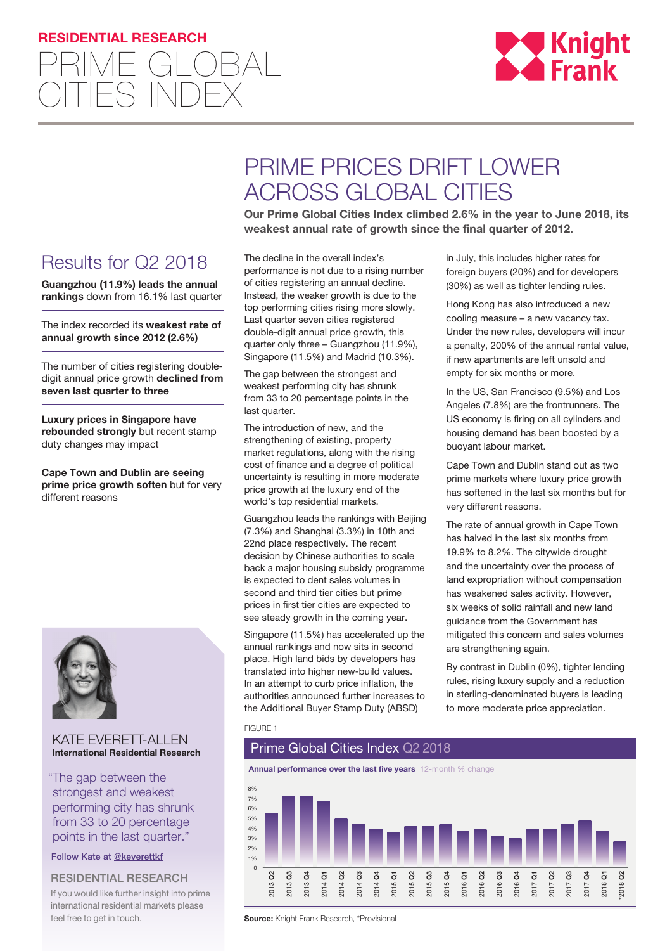## **RESIDENTIAL RESEARCH**





# PRIME PRICES DRIFT LOWER ACROSS GLOBAL CITIES

**Our Prime Global Cities Index climbed 2.6% in the year to June 2018, its weakest annual rate of growth since the final quarter of 2012.** 

## Results for Q2 2018

**Guangzhou (11.9%) leads the annual rankings** down from 16.1% last quarter

The index recorded its **weakest rate of annual growth since 2012 (2.6%)**

The number of cities registering doubledigit annual price growth **declined from seven last quarter to three**

**Luxury prices in Singapore have rebounded strongly** but recent stamp duty changes may impact

**Cape Town and Dublin are seeing prime price growth soften** but for very different reasons



## KATE EVERETT-ALLEN **International Residential Research**

"The gap between the strongest and weakest performing city has shrunk from 33 to 20 percentage points in the last quarter."

Follow Kate at [@k](https://twitter.com/keverettkf)everettkf

## RESIDENTIAL RESEARCH

If you would like further insight into prime international residential markets please feel free to get in touch.

The decline in the overall index's performance is not due to a rising number of cities registering an annual decline. Instead, the weaker growth is due to the top performing cities rising more slowly. Last quarter seven cities registered double-digit annual price growth, this quarter only three – Guangzhou (11.9%), Singapore (11.5%) and Madrid (10.3%).

The gap between the strongest and weakest performing city has shrunk from 33 to 20 percentage points in the last quarter.

The introduction of new, and the strengthening of existing, property market regulations, along with the rising cost of finance and a degree of political uncertainty is resulting in more moderate price growth at the luxury end of the world's top residential markets.

Guangzhou leads the rankings with Beijing (7.3%) and Shanghai (3.3%) in 10th and 22nd place respectively. The recent decision by Chinese authorities to scale back a major housing subsidy programme is expected to dent sales volumes in second and third tier cities but prime prices in first tier cities are expected to see steady growth in the coming year.

Singapore (11.5%) has accelerated up the annual rankings and now sits in second place. High land bids by developers has translated into higher new-build values. In an attempt to curb price inflation, the authorities announced further increases to the Additional Buyer Stamp Duty (ABSD)

in July, this includes higher rates for foreign buyers (20%) and for developers (30%) as well as tighter lending rules.

Hong Kong has also introduced a new cooling measure – a new vacancy tax. Under the new rules, developers will incur a penalty, 200% of the annual rental value, if new apartments are left unsold and empty for six months or more.

In the US, San Francisco (9.5%) and Los Angeles (7.8%) are the frontrunners. The US economy is firing on all cylinders and housing demand has been boosted by a buoyant labour market.

Cape Town and Dublin stand out as two prime markets where luxury price growth has softened in the last six months but for very different reasons.

The rate of annual growth in Cape Town has halved in the last six months from 19.9% to 8.2%. The citywide drought and the uncertainty over the process of land expropriation without compensation has weakened sales activity. However, six weeks of solid rainfall and new land guidance from the Government has mitigated this concern and sales volumes are strengthening again.

By contrast in Dublin (0%), tighter lending rules, rising luxury supply and a reduction in sterling-denominated buyers is leading to more moderate price appreciation.

#### FIGURE 1



**Source:** Knight Frank Research, \*Provisional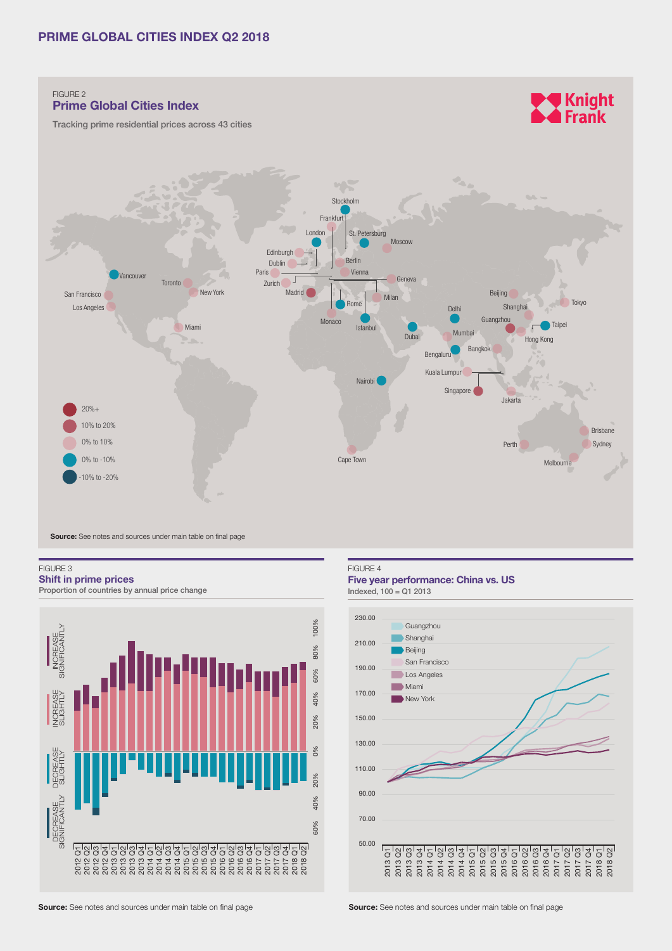

FIGURE 3

**Shift in prime prices** Proportion of countries by annual price change



### FIGURE 4

## **Five year performance: China vs. US**

 $Indexed, 100 = Q1 2013$ 



**Source:** See notes and sources under main table on final page **Source: See notes and sources under main table on final page**